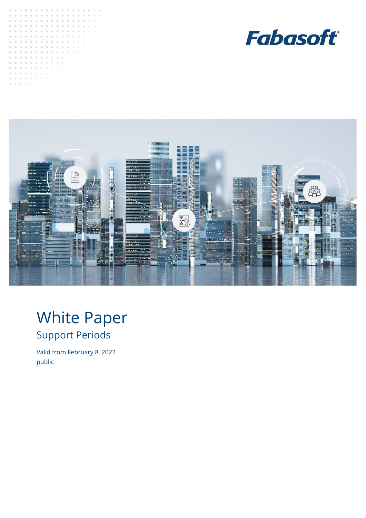





# White Paper Support Periods

<span id="page-0-0"></span>Valid from February 8, 2022 public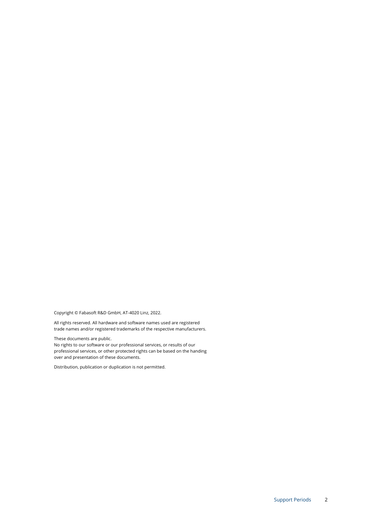Copyright © Fabasoft R&D GmbH, AT-4020 Linz, 2022.

All rights reserved. All hardware and software names used are registered trade names and/or registered trademarks of the respective manufacturers.

These documents ar[e public.](#page-0-0)

No rights to our software or our professional services, or results of our professional services, or other protected rights can be based on the handing over and presentation of these documents.

Distribution, publication or duplication is not permitted.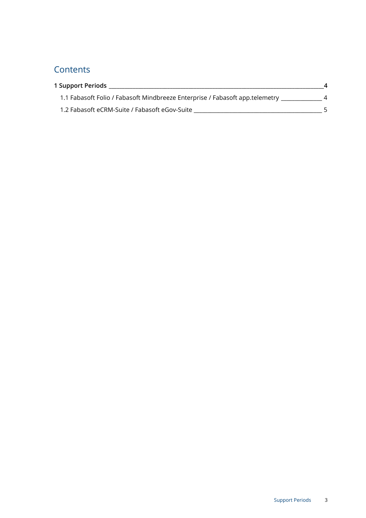## **Contents**

| 1 Support Periods                                                            |  |
|------------------------------------------------------------------------------|--|
| 1.1 Fabasoft Folio / Fabasoft Mindbreeze Enterprise / Fabasoft app.telemetry |  |
| 1.2 Fabasoft eCRM-Suite / Fabasoft eGov-Suite                                |  |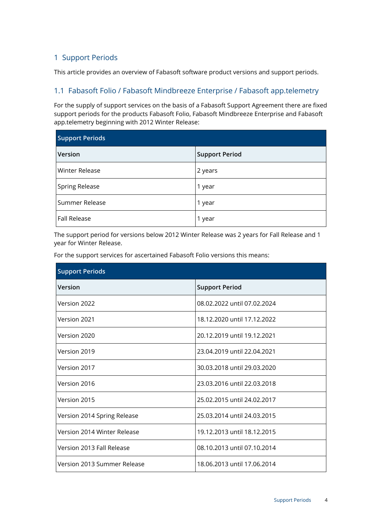### <span id="page-3-0"></span>1 Support Periods

This article provides an overview of Fabasoft software product versions and support periods.

#### <span id="page-3-1"></span>1.1 Fabasoft Folio / Fabasoft Mindbreeze Enterprise / Fabasoft app.telemetry

For the supply of support services on the basis of a Fabasoft Support Agreement there are fixed support periods for the products Fabasoft Folio, Fabasoft Mindbreeze Enterprise and Fabasoft app.telemetry beginning with 2012 Winter Release:

| <b>Support Periods</b> |                       |  |
|------------------------|-----------------------|--|
| Version                | <b>Support Period</b> |  |
| <b>Winter Release</b>  | 2 years               |  |
| <b>Spring Release</b>  | 1 year                |  |
| Summer Release         | 1 year                |  |
| <b>Fall Release</b>    | 1 year                |  |

The support period for versions below 2012 Winter Release was 2 years for Fall Release and 1 year for Winter Release.

For the support services for ascertained Fabasoft Folio versions this means:

| <b>Support Periods</b>      |                             |  |
|-----------------------------|-----------------------------|--|
| Version                     | <b>Support Period</b>       |  |
| Version 2022                | 08.02.2022 until 07.02.2024 |  |
| Version 2021                | 18.12.2020 until 17.12.2022 |  |
| Version 2020                | 20.12.2019 until 19.12.2021 |  |
| Version 2019                | 23.04.2019 until 22.04.2021 |  |
| Version 2017                | 30.03.2018 until 29.03.2020 |  |
| Version 2016                | 23.03.2016 until 22.03.2018 |  |
| Version 2015                | 25.02.2015 until 24.02.2017 |  |
| Version 2014 Spring Release | 25.03.2014 until 24.03.2015 |  |
| Version 2014 Winter Release | 19.12.2013 until 18.12.2015 |  |
| Version 2013 Fall Release   | 08.10.2013 until 07.10.2014 |  |
| Version 2013 Summer Release | 18.06.2013 until 17.06.2014 |  |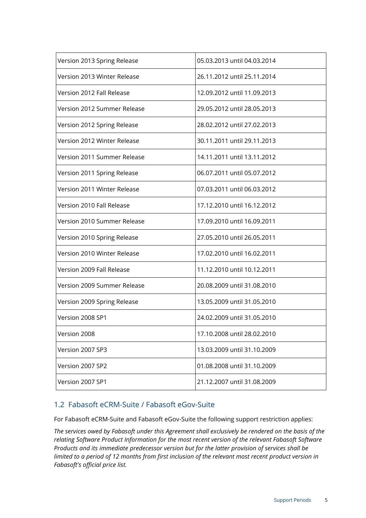| Version 2013 Spring Release | 05.03.2013 until 04.03.2014 |
|-----------------------------|-----------------------------|
| Version 2013 Winter Release | 26.11.2012 until 25.11.2014 |
| Version 2012 Fall Release   | 12.09.2012 until 11.09.2013 |
| Version 2012 Summer Release | 29.05.2012 until 28.05.2013 |
| Version 2012 Spring Release | 28.02.2012 until 27.02.2013 |
| Version 2012 Winter Release | 30.11.2011 until 29.11.2013 |
| Version 2011 Summer Release | 14.11.2011 until 13.11.2012 |
| Version 2011 Spring Release | 06.07.2011 until 05.07.2012 |
| Version 2011 Winter Release | 07.03.2011 until 06.03.2012 |
| Version 2010 Fall Release   | 17.12.2010 until 16.12.2012 |
| Version 2010 Summer Release | 17.09.2010 until 16.09.2011 |
| Version 2010 Spring Release | 27.05.2010 until 26.05.2011 |
| Version 2010 Winter Release | 17.02.2010 until 16.02.2011 |
| Version 2009 Fall Release   | 11.12.2010 until 10.12.2011 |
| Version 2009 Summer Release | 20.08.2009 until 31.08.2010 |
| Version 2009 Spring Release | 13.05.2009 until 31.05.2010 |
| Version 2008 SP1            | 24.02.2009 until 31.05.2010 |
| Version 2008                | 17.10.2008 until 28.02.2010 |
| Version 2007 SP3            | 13.03.2009 until 31.10.2009 |
| Version 2007 SP2            | 01.08.2008 until 31.10.2009 |
| Version 2007 SP1            | 21.12.2007 until 31.08.2009 |

#### <span id="page-4-0"></span>1.2 Fabasoft eCRM-Suite / Fabasoft eGov-Suite

For Fabasoft eCRM-Suite and Fabasoft eGov-Suite the following support restriction applies:

*The services owed by Fabasoft under this Agreement shall exclusively be rendered on the basis of the relating Software Product Information for the most recent version of the relevant Fabasoft Software Products and its immediate predecessor version but for the latter provision of services shall be limited to a period of 12 months from first inclusion of the relevant most recent product version in Fabasoft's official price list.*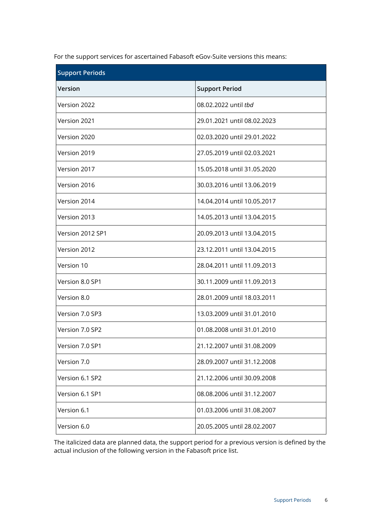For the support services for ascertained Fabasoft eGov-Suite versions this means:

| <b>Support Periods</b> |                             |  |
|------------------------|-----------------------------|--|
| <b>Version</b>         | <b>Support Period</b>       |  |
| Version 2022           | 08.02.2022 until thd        |  |
| Version 2021           | 29.01.2021 until 08.02.2023 |  |
| Version 2020           | 02.03.2020 until 29.01.2022 |  |
| Version 2019           | 27.05.2019 until 02.03.2021 |  |
| Version 2017           | 15.05.2018 until 31.05.2020 |  |
| Version 2016           | 30.03.2016 until 13.06.2019 |  |
| Version 2014           | 14.04.2014 until 10.05.2017 |  |
| Version 2013           | 14.05.2013 until 13.04.2015 |  |
| Version 2012 SP1       | 20.09.2013 until 13.04.2015 |  |
| Version 2012           | 23.12.2011 until 13.04.2015 |  |
| Version 10             | 28.04.2011 until 11.09.2013 |  |
| Version 8.0 SP1        | 30.11.2009 until 11.09.2013 |  |
| Version 8.0            | 28.01.2009 until 18.03.2011 |  |
| Version 7.0 SP3        | 13.03.2009 until 31.01.2010 |  |
| Version 7.0 SP2        | 01.08.2008 until 31.01.2010 |  |
| Version 7.0 SP1        | 21.12.2007 until 31.08.2009 |  |
| Version 7.0            | 28.09.2007 until 31.12.2008 |  |
| Version 6.1 SP2        | 21.12.2006 until 30.09.2008 |  |
| Version 6.1 SP1        | 08.08.2006 until 31.12.2007 |  |
| Version 6.1            | 01.03.2006 until 31.08.2007 |  |
| Version 6.0            | 20.05.2005 until 28.02.2007 |  |

The italicized data are planned data, the support period for a previous version is defined by the actual inclusion of the following version in the Fabasoft price list.